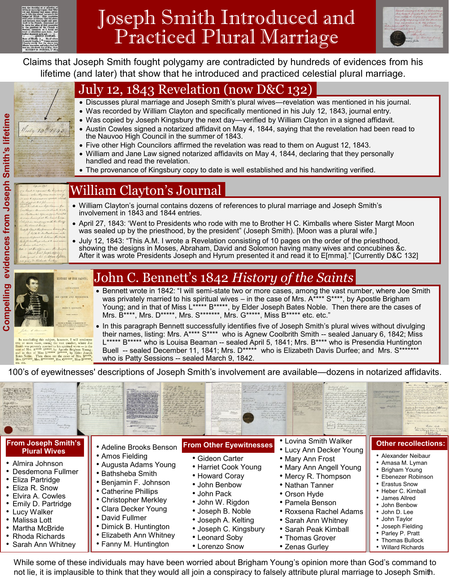

10 # 18 13

# Joseph Smith Introduced and Practiced Plural Marriage



Claims that Joseph Smith fought polygamy are contradicted by hundreds of evidences from his lifetime (and later) that show that he introduced and practiced celestial plural marriage.

## July 12, 1843 Revelation (now D&C 132)

- Discusses plural marriage and Joseph Smith's plural wives—revelation was mentioned in his journal.
- Was recorded by William Clayton and specifically mentioned in his July 12, 1843, journal entry.
- Was copied by Joseph Kingsbury the next day—verified by William Clayton in a signed affidavit.
- Austin Cowles signed a notarized affidavit on May 4, 1844, saying that the revelation had been read to the Nauvoo High Council in the summer of 1843.
- Five other High Councilors affirmed the revelation was read to them on August 12, 1843.
- William and Jane Law signed notarized affidavits on May 4, 1844, declaring that they personally handled and read the revelation.
- The provenance of Kingsbury copy to date is well established and his handwriting verified.

### William Clayton's Journal

- William Clayton's journal contains dozens of references to plural marriage and Joseph Smith's involvement in 1843 and 1844 entries.
- April 27, 1843: 'Went to Presidents who rode with me to Brother H C. Kimballs where Sister Margt Moon was sealed up by the priesthood, by the president" (Joseph Smith). [Moon was a plural wife.]
- July 12, 1843: "This A.M. I wrote a Revelation consisting of 10 pages on the order of the priesthood, showing the designs in Moses, Abraham, David and Solomon having many wives and concubines &c. After it was wrote Presidents Joseph and Hyrum presented it and read it to E[mma]." [Currently D&C 132]

## John C. Bennett's 1842 *History of the Saints*

- Bennett wrote in 1842: "I will semi-state two or more cases, among the vast number, where Joe Smith was privately married to his spiritual wives – in the case of Mrs. A\*\*\*\* S\*\*\*\*, by Apostle Brigham Young; and in that of Miss L\*\*\*\*\* B\*\*\*\*\*, by Elder Joseph Bates Noble. Then there are the cases of Mrs. B\*\*\*\*, Mrs. D\*\*\*\*\*, Mrs. S\*\*\*\*\*\*\*, Mrs. G\*\*\*\*\*, Miss B\*\*\*\*\* etc. etc."
- this subject, however, I will sen concounting this subject, however, I will semi-state<br>or more cases, among the vast number, where Joo<br>was privately married to his spiritual wives — in the<br>Mrs. A\*\*\*\* S\*\*\*\*, by Aposte Brigham Young<br>that of Miss Le\*\*\*, Parti de. Then there are the cases of Mrs. E

**ISTORY OF THE SAINTS** 

• In this paragraph Bennett successfully identifies five of Joseph Smith's plural wives without divulging their names, listing: Mrs. A\*\*\*\* S\*\*\*\* who is Agnew Coolbrith Smith -- sealed January 6, 1842; Miss L\*\*\*\*\* B\*\*\*\*\* who is Louisa Beaman -- sealed April 5, 1841; Mrs. B\*\*\*\* who is Presendia Huntington Buell -- sealed December 11, 1841; Mrs. D\*\*\*\*\* who is Elizabeth Davis Durfee; and Mrs. S\*\*\*\* who is Patty Sessions -- sealed March 9, 1842.

100's of eyewitnesses' descriptions of Joseph Smith's involvement are available—dozens in notarized affidavits.



While some of these individuals may have been worried about Brigham Young's opinion more than God's command to not lie, it is implausible to think that they would all join a conspiracy to falsely attribute plural marriage to Joseph Smith.